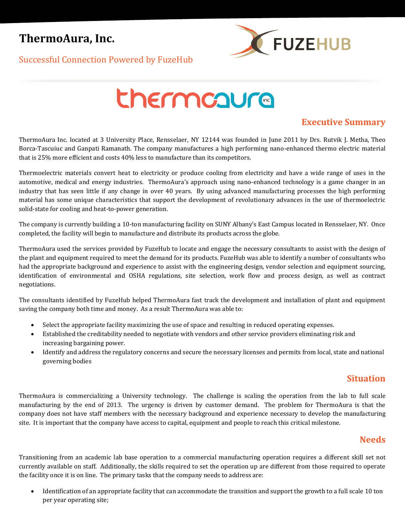## **ThermoAura, Inc.**



Successful Connection Powered by FuzeHub

# thermcaura

## **Executive Summary**

ThermoAura Inc. located at 3 University Place, Rensselaer, NY 12144 was founded in June 2011 by Drs. Rutvik J. Metha, Theo Borca-Tascuiuc and Ganpati Ramanath. The company manufactures a high performing nano-enhanced thermo electric material that is 25% more efficient and costs 40% less to manufacture than its competitors.

Thermoelectric materials convert heat to electricity or produce cooling from electricity and have a wide range of uses in the automotive, medical and energy industries. ThermoAura's approach using nano-enhanced technology is a game changer in an industry that has seen little if any change in over 40 years. By using advanced manufacturing processes the high performing material has some unique characteristics that support the development of revolutionary advances in the use of thermoelectric solid-state for cooling and heat-to-power generation.

The company is currently building a 10-ton manufacturing facility on SUNY Albany's East Campus located in Rensselaer, NY. Once completed, the facility will begin to manufacture and distribute its products across the globe.

ThermoAura used the services provided by FuzeHub to locate and engage the necessary consultants to assist with the design of the plant and equipment required to meet the demand for its products. FuzeHub was able to identify a number of consultants who had the appropriate background and experience to assist with the engineering design, vendor selection and equipment sourcing, identification of environmental and OSHA regulations, site selection, work flow and process design, as well as contract negotiations.

The consultants identified by FuzeHub helped ThermoAura fast track the development and installation of plant and equipment saving the company both time and money. As a result ThermoAura was able to:

- Select the appropriate facility maximizing the use of space and resulting in reduced operating expenses.
- Established the creditability needed to negotiate with vendors and other service providers eliminating risk and increasing bargaining power.
- Identify and address the regulatory concerns and secure the necessary licenses and permits from local, state and national governing bodies

#### **Situation**

ThermoAura is commercializing a University technology. The challenge is scaling the operation from the lab to full scale manufacturing by the end of 2013. The urgency is driven by customer demand. The problem for ThermoAura is that the company does not have staff members with the necessary background and experience necessary to develop the manufacturing site. It is important that the company have access to capital, equipment and people to reach this critical milestone.

## **Needs**

Transitioning from an academic lab base operation to a commercial manufacturing operation requires a different skill set not currently available on staff. Additionally, the skills required to set the operation up are different from those required to operate the facility once it is on line. The primary tasks that the company needs to address are:

 Identification of an appropriate facility that can accommodate the transition and support the growth to a full scale 10 ton per year operating site;